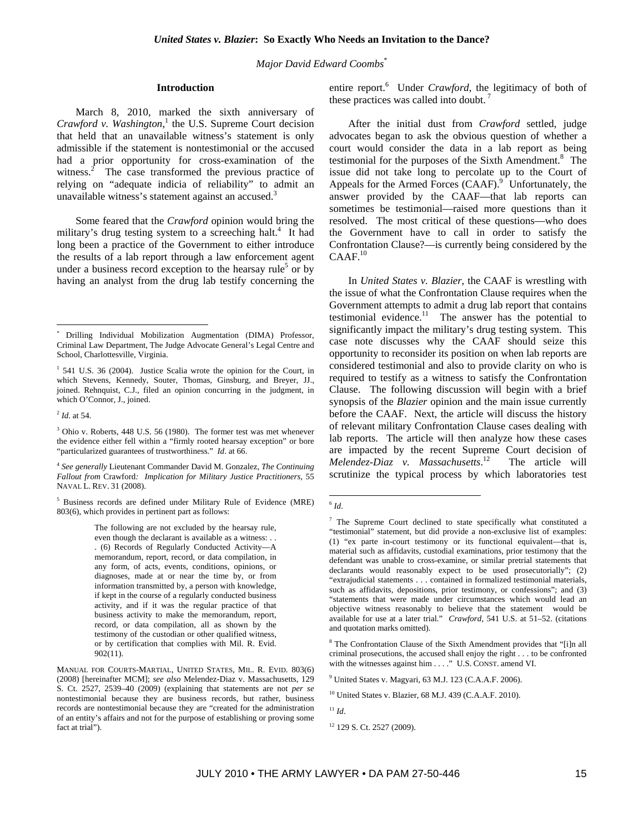*Major David Edward Coombs*\*

#### **Introduction**

March 8, 2010, marked the sixth anniversary of *Crawford v. Washington*, 1 the U.S. Supreme Court decision that held that an unavailable witness's statement is only admissible if the statement is nontestimonial or the accused had a prior opportunity for cross-examination of the witness. $\frac{2}{\pi}$  The case transformed the previous practice of relying on "adequate indicia of reliability" to admit an unavailable witness's statement against an accused.<sup>3</sup>

Some feared that the *Crawford* opinion would bring the military's drug testing system to a screeching halt.<sup>4</sup> It had long been a practice of the Government to either introduce the results of a lab report through a law enforcement agent under a business record exception to the hearsay rule<sup>5</sup> or by having an analyst from the drug lab testify concerning the

 $\overline{a}$ 

5 Business records are defined under Military Rule of Evidence (MRE) 803(6), which provides in pertinent part as follows:

> The following are not excluded by the hearsay rule, even though the declarant is available as a witness: . . . (6) Records of Regularly Conducted Activity—A memorandum, report, record, or data compilation, in any form, of acts, events, conditions, opinions, or diagnoses, made at or near the time by, or from information transmitted by, a person with knowledge, if kept in the course of a regularly conducted business activity, and if it was the regular practice of that business activity to make the memorandum, report, record, or data compilation, all as shown by the testimony of the custodian or other qualified witness, or by certification that complies with Mil. R. Evid. 902(11).

MANUAL FOR COURTS-MARTIAL, UNITED STATES, MIL. R. EVID. 803(6) (2008) [hereinafter MCM]; *see also* Melendez-Diaz v. Massachusetts, 129 S. Ct. 2527, 2539–40 (2009) (explaining that statements are not *per se* nontestimonial because they are business records, but rather, business records are nontestimonial because they are "created for the administration of an entity's affairs and not for the purpose of establishing or proving some fact at trial").

entire report.<sup>6</sup> Under *Crawford*, the legitimacy of both of these practices was called into doubt.

After the initial dust from *Crawford* settled, judge advocates began to ask the obvious question of whether a court would consider the data in a lab report as being testimonial for the purposes of the Sixth Amendment.<sup>8</sup> The issue did not take long to percolate up to the Court of Appeals for the Armed Forces (CAAF).<sup>9</sup> Unfortunately, the answer provided by the CAAF—that lab reports can sometimes be testimonial—raised more questions than it resolved. The most critical of these questions—who does the Government have to call in order to satisfy the Confrontation Clause?—is currently being considered by the  $CAAF.<sup>10</sup>$ 

In *United States v. Blazier*, the CAAF is wrestling with the issue of what the Confrontation Clause requires when the Government attempts to admit a drug lab report that contains testimonial evidence.<sup>11</sup> The answer has the potential to significantly impact the military's drug testing system. This case note discusses why the CAAF should seize this opportunity to reconsider its position on when lab reports are considered testimonial and also to provide clarity on who is required to testify as a witness to satisfy the Confrontation Clause. The following discussion will begin with a brief synopsis of the *Blazier* opinion and the main issue currently before the CAAF. Next, the article will discuss the history of relevant military Confrontation Clause cases dealing with lab reports. The article will then analyze how these cases are impacted by the recent Supreme Court decision of *Melendez-Diaz v. Massachusetts*. The article will scrutinize the typical process by which laboratories test

<sup>11</sup> *Id*.

<sup>\*</sup> Drilling Individual Mobilization Augmentation (DIMA) Professor, Criminal Law Department, The Judge Advocate General's Legal Centre and School, Charlottesville, Virginia.

<sup>&</sup>lt;sup>1</sup> 541 U.S. 36 (2004). Justice Scalia wrote the opinion for the Court, in which Stevens, Kennedy, Souter, Thomas, Ginsburg, and Breyer, JJ., joined. Rehnquist, C.J., filed an opinion concurring in the judgment, in which O'Connor, J., joined.

<sup>2</sup> *Id*. at 54.

<sup>&</sup>lt;sup>3</sup> Ohio v. Roberts, 448 U.S. 56 (1980). The former test was met whenever the evidence either fell within a "firmly rooted hearsay exception" or bore "particularized guarantees of trustworthiness." *Id*. at 66.

<sup>4</sup> *See generally* Lieutenant Commander David M. Gonzalez, *The Continuing Fallout from* Crawford*: Implication for Military Justice Practitioners*, 55 NAVAL L. REV. 31 (2008).

 $\overline{a}$  $6$  *Id*.

<sup>&</sup>lt;sup>7</sup> The Supreme Court declined to state specifically what constituted a "testimonial" statement, but did provide a non-exclusive list of examples: (1) "ex parte in-court testimony or its functional equivalent—that is, material such as affidavits, custodial examinations, prior testimony that the defendant was unable to cross-examine, or similar pretrial statements that declarants would reasonably expect to be used prosecutorially"; (2) "extrajudicial statements . . . contained in formalized testimonial materials, such as affidavits, depositions, prior testimony, or confessions"; and (3) "statements that were made under circumstances which would lead an objective witness reasonably to believe that the statement would be available for use at a later trial." *Crawford*, 541 U.S. at 51–52. (citations and quotation marks omitted).

<sup>&</sup>lt;sup>8</sup> The Confrontation Clause of the Sixth Amendment provides that "[i]n all criminal prosecutions, the accused shall enjoy the right . . . to be confronted with the witnesses against him . . . ." U.S. CONST. amend VI.

<sup>9</sup> United States v. Magyari, 63 M.J. 123 (C.A.A.F. 2006).

<sup>10</sup> United States v. Blazier, 68 M.J. 439 (C.A.A.F. 2010).

<sup>&</sup>lt;sup>12</sup> 129 S. Ct. 2527 (2009).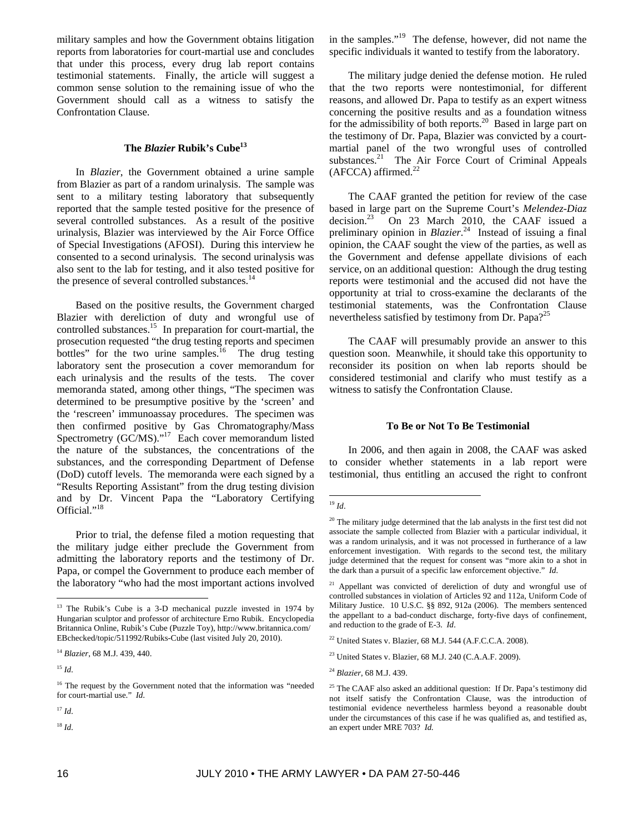military samples and how the Government obtains litigation reports from laboratories for court-martial use and concludes that under this process, every drug lab report contains testimonial statements. Finally, the article will suggest a common sense solution to the remaining issue of who the Government should call as a witness to satisfy the Confrontation Clause.

# **The** *Blazier* **Rubik's Cube13**

In *Blazier*, the Government obtained a urine sample from Blazier as part of a random urinalysis. The sample was sent to a military testing laboratory that subsequently reported that the sample tested positive for the presence of several controlled substances. As a result of the positive urinalysis, Blazier was interviewed by the Air Force Office of Special Investigations (AFOSI). During this interview he consented to a second urinalysis. The second urinalysis was also sent to the lab for testing, and it also tested positive for the presence of several controlled substances.<sup>14</sup>

Based on the positive results, the Government charged Blazier with dereliction of duty and wrongful use of controlled substances.<sup>15</sup> In preparation for court-martial, the prosecution requested "the drug testing reports and specimen bottles" for the two urine samples.<sup>16</sup> The drug testing laboratory sent the prosecution a cover memorandum for each urinalysis and the results of the tests. The cover memoranda stated, among other things, "The specimen was determined to be presumptive positive by the 'screen' and the 'rescreen' immunoassay procedures. The specimen was then confirmed positive by Gas Chromatography/Mass Spectrometry (GC/MS)."<sup>17</sup> Each cover memorandum listed the nature of the substances, the concentrations of the substances, and the corresponding Department of Defense (DoD) cutoff levels. The memoranda were each signed by a "Results Reporting Assistant" from the drug testing division and by Dr. Vincent Papa the "Laboratory Certifying Official."<sup>18</sup>

Prior to trial, the defense filed a motion requesting that the military judge either preclude the Government from admitting the laboratory reports and the testimony of Dr. Papa, or compel the Government to produce each member of the laboratory "who had the most important actions involved

 $\overline{a}$ 

in the samples." $19$  The defense, however, did not name the specific individuals it wanted to testify from the laboratory.

The military judge denied the defense motion. He ruled that the two reports were nontestimonial, for different reasons, and allowed Dr. Papa to testify as an expert witness concerning the positive results and as a foundation witness for the admissibility of both reports.<sup>20</sup> Based in large part on the testimony of Dr. Papa, Blazier was convicted by a courtmartial panel of the two wrongful uses of controlled substances.<sup>21</sup> The Air Force Court of Criminal Appeals  $(AFCCA)$  affirmed.<sup>22</sup>

The CAAF granted the petition for review of the case based in large part on the Supreme Court's *Melendez-Diaz* decision.23 On 23 March 2010, the CAAF issued a preliminary opinion in *Blazier*. 24 Instead of issuing a final opinion, the CAAF sought the view of the parties, as well as the Government and defense appellate divisions of each service, on an additional question: Although the drug testing reports were testimonial and the accused did not have the opportunity at trial to cross-examine the declarants of the testimonial statements, was the Confrontation Clause nevertheless satisfied by testimony from Dr. Papa?<sup>25</sup>

The CAAF will presumably provide an answer to this question soon. Meanwhile, it should take this opportunity to reconsider its position on when lab reports should be considered testimonial and clarify who must testify as a witness to satisfy the Confrontation Clause.

#### **To Be or Not To Be Testimonial**

In 2006, and then again in 2008, the CAAF was asked to consider whether statements in a lab report were testimonial, thus entitling an accused the right to confront

<sup>&</sup>lt;sup>13</sup> The Rubik's Cube is a 3-D mechanical puzzle invested in 1974 by Hungarian sculptor and professor of architecture Erno Rubik. Encyclopedia Britannica Online, Rubik's Cube (Puzzle Toy), http://www.britannica.com/ EBchecked/topic/511992/Rubiks-Cube (last visited July 20, 2010).

<sup>14</sup> *Blazier*, 68 M.J. 439, 440.

<sup>15</sup> *Id*.

<sup>&</sup>lt;sup>16</sup> The request by the Government noted that the information was "needed for court-martial use." *Id*.

<sup>17</sup> *Id*.

<sup>18</sup> *Id*.

 $\overline{a}$ <sup>19</sup> *Id*.

 $20$  The military judge determined that the lab analysts in the first test did not associate the sample collected from Blazier with a particular individual, it was a random urinalysis, and it was not processed in furtherance of a law enforcement investigation. With regards to the second test, the military judge determined that the request for consent was "more akin to a shot in the dark than a pursuit of a specific law enforcement objective." *Id*.

<sup>&</sup>lt;sup>21</sup> Appellant was convicted of dereliction of duty and wrongful use of controlled substances in violation of Articles 92 and 112a, Uniform Code of Military Justice. 10 U.S.C. §§ 892, 912a (2006). The members sentenced the appellant to a bad-conduct discharge, forty-five days of confinement, and reduction to the grade of E-3. *Id*.

<sup>22</sup> United States v. Blazier, 68 M.J. 544 (A.F.C.C.A. 2008).

 $23$  United States v. Blazier, 68 M.J. 240 (C.A.A.F. 2009).

<sup>24</sup> *Blazier*, 68 M.J. 439.

 $25$  The CAAF also asked an additional question: If Dr. Papa's testimony did not itself satisfy the Confrontation Clause, was the introduction of testimonial evidence nevertheless harmless beyond a reasonable doubt under the circumstances of this case if he was qualified as, and testified as, an expert under MRE 703? *Id.*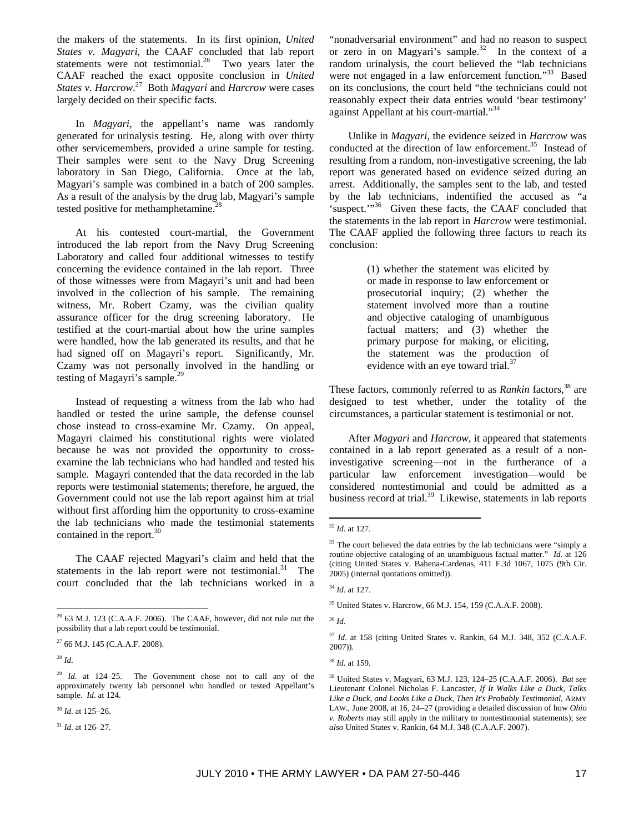the makers of the statements. In its first opinion, *United States v. Magyari*, the CAAF concluded that lab report statements were not testimonial.<sup>26</sup> Two years later the CAAF reached the exact opposite conclusion in *United States v. Harcrow*. 27 Both *Magyari* and *Harcrow* were cases largely decided on their specific facts.

In *Magyari*, the appellant's name was randomly generated for urinalysis testing. He, along with over thirty other servicemembers, provided a urine sample for testing. Their samples were sent to the Navy Drug Screening laboratory in San Diego, California. Once at the lab, Magyari's sample was combined in a batch of 200 samples. As a result of the analysis by the drug lab, Magyari's sample tested positive for methamphetamine.<sup>2</sup>

At his contested court-martial, the Government introduced the lab report from the Navy Drug Screening Laboratory and called four additional witnesses to testify concerning the evidence contained in the lab report. Three of those witnesses were from Magayri's unit and had been involved in the collection of his sample. The remaining witness, Mr. Robert Czamy, was the civilian quality assurance officer for the drug screening laboratory. He testified at the court-martial about how the urine samples were handled, how the lab generated its results, and that he had signed off on Magayri's report. Significantly, Mr. Czamy was not personally involved in the handling or testing of Magayri's sample.<sup>29</sup>

Instead of requesting a witness from the lab who had handled or tested the urine sample, the defense counsel chose instead to cross-examine Mr. Czamy. On appeal, Magayri claimed his constitutional rights were violated because he was not provided the opportunity to crossexamine the lab technicians who had handled and tested his sample. Magayri contended that the data recorded in the lab reports were testimonial statements; therefore, he argued, the Government could not use the lab report against him at trial without first affording him the opportunity to cross-examine the lab technicians who made the testimonial statements contained in the report.<sup>30</sup>

The CAAF rejected Magyari's claim and held that the statements in the lab report were not testimonial.<sup>31</sup> The court concluded that the lab technicians worked in a

<sup>28</sup> *Id*.

 $\overline{a}$ 

<sup>30</sup> *Id*. at 125–26.

"nonadversarial environment" and had no reason to suspect or zero in on Magyari's sample. $32$  In the context of a random urinalysis, the court believed the "lab technicians were not engaged in a law enforcement function."<sup>33</sup> Based on its conclusions, the court held "the technicians could not reasonably expect their data entries would 'bear testimony' against Appellant at his court-martial."34

Unlike in *Magyari*, the evidence seized in *Harcrow* was conducted at the direction of law enforcement.<sup>35</sup> Instead of resulting from a random, non-investigative screening, the lab report was generated based on evidence seized during an arrest. Additionally, the samples sent to the lab, and tested by the lab technicians, indentified the accused as "a 'suspect.'"<sup>36</sup> Given these facts, the CAAF concluded that the statements in the lab report in *Harcrow* were testimonial. The CAAF applied the following three factors to reach its conclusion:

> (1) whether the statement was elicited by or made in response to law enforcement or prosecutorial inquiry; (2) whether the statement involved more than a routine and objective cataloging of unambiguous factual matters; and (3) whether the primary purpose for making, or eliciting, the statement was the production of evidence with an eye toward trial.<sup>37</sup>

These factors, commonly referred to as *Rankin* factors,<sup>38</sup> are designed to test whether, under the totality of the circumstances, a particular statement is testimonial or not.

After *Magyari* and *Harcrow*, it appeared that statements contained in a lab report generated as a result of a noninvestigative screening—not in the furtherance of a particular law enforcement investigation—would be considered nontestimonial and could be admitted as a business record at trial.<sup>39</sup> Likewise, statements in lab reports

 $\overline{a}$ 

<sup>36</sup> *Id*.

<sup>37</sup> *Id.* at 158 (citing United States v. Rankin, 64 M.J. 348, 352 (C.A.A.F. 2007)).

 $26$  63 M.J. 123 (C.A.A.F. 2006). The CAAF, however, did not rule out the possibility that a lab report could be testimonial.

 $27$  66 M.J. 145 (C.A.A.F. 2008).

<sup>29</sup> *Id.* at 124–25. The Government chose not to call any of the approximately twenty lab personnel who handled or tested Appellant's sample. *Id*. at 124.

<sup>31</sup> *Id*. at 126–27.

<sup>32</sup> *Id*. at 127.

<sup>&</sup>lt;sup>33</sup> The court believed the data entries by the lab technicians were "simply a routine objective cataloging of an unambiguous factual matter." *Id.* at 126 (citing United States v. Bahena-Cardenas, 411 F.3d 1067, 1075 (9th Cir. 2005) (internal quotations omitted)).

<sup>34</sup> *Id*. at 127.

<sup>35</sup> United States v. Harcrow, 66 M.J. 154, 159 (C.A.A.F. 2008).

<sup>38</sup> *Id.* at 159.

<sup>39</sup> United States v. Magyari, 63 M.J. 123, 124–25 (C.A.A.F. 2006). *But see* Lieutenant Colonel Nicholas F. Lancaster, *If It Walks Like a Duck, Talks Like a Duck, and Looks Like a Duck, Then It's Probably Testimonial*, ARMY LAW., June 2008, at 16, 24–27 (providing a detailed discussion of how *Ohio v. Roberts* may still apply in the military to nontestimonial statements); *see also* United States v. Rankin, 64 M.J. 348 (C.A.A.F. 2007).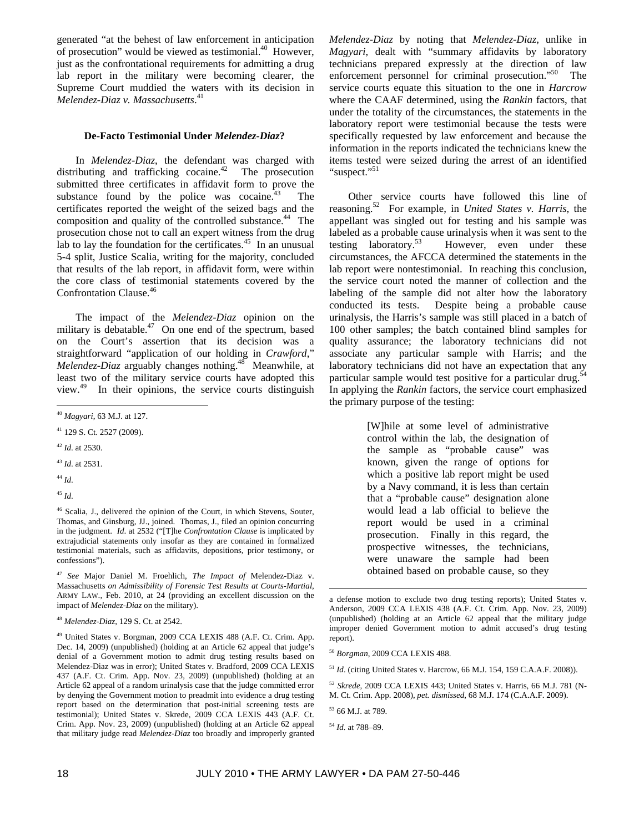generated "at the behest of law enforcement in anticipation of prosecution" would be viewed as testimonial.<sup>40</sup> However, just as the confrontational requirements for admitting a drug lab report in the military were becoming clearer, the Supreme Court muddied the waters with its decision in *Melendez-Diaz v. Massachusetts*. 41

#### **De-Facto Testimonial Under** *Melendez-Diaz***?**

In *Melendez-Diaz*, the defendant was charged with distributing and trafficking cocaine. $42$  The prosecution submitted three certificates in affidavit form to prove the substance found by the police was cocaine. $43$  The certificates reported the weight of the seized bags and the composition and quality of the controlled substance.<sup>44</sup> The prosecution chose not to call an expert witness from the drug lab to lay the foundation for the certificates.<sup>45</sup> In an unusual 5-4 split, Justice Scalia, writing for the majority, concluded that results of the lab report, in affidavit form, were within the core class of testimonial statements covered by the Confrontation Clause.46

The impact of the *Melendez-Diaz* opinion on the military is debatable. $47$  On one end of the spectrum, based on the Court's assertion that its decision was a straightforward "application of our holding in *Crawford*," *Melendez-Diaz* arguably changes nothing.<sup>48</sup> Meanwhile, at least two of the military service courts have adopted this view.49 In their opinions, the service courts distinguish

<sup>43</sup> *Id*. at 2531.

<sup>44</sup> *Id*.

 $\overline{a}$ 

<sup>45</sup> *Id*.

*Melendez-Diaz* by noting that *Melendez-Diaz*, unlike in *Magyari*, dealt with "summary affidavits by laboratory technicians prepared expressly at the direction of law enforcement personnel for criminal prosecution."<sup>50</sup> The service courts equate this situation to the one in *Harcrow* where the CAAF determined, using the *Rankin* factors, that under the totality of the circumstances, the statements in the laboratory report were testimonial because the tests were specifically requested by law enforcement and because the information in the reports indicated the technicians knew the items tested were seized during the arrest of an identified "suspect."<sup>51</sup>

Other service courts have followed this line of reasoning.52 For example, in *United States v. Harris*, the appellant was singled out for testing and his sample was labeled as a probable cause urinalysis when it was sent to the testing laboratory.<sup>53</sup> However, even under these circumstances, the AFCCA determined the statements in the lab report were nontestimonial. In reaching this conclusion, the service court noted the manner of collection and the labeling of the sample did not alter how the laboratory conducted its tests. Despite being a probable cause urinalysis, the Harris's sample was still placed in a batch of 100 other samples; the batch contained blind samples for quality assurance; the laboratory technicians did not associate any particular sample with Harris; and the laboratory technicians did not have an expectation that any particular sample would test positive for a particular drug.<sup>54</sup> In applying the *Rankin* factors, the service court emphasized the primary purpose of the testing:

> [W]hile at some level of administrative control within the lab, the designation of the sample as "probable cause" was known, given the range of options for which a positive lab report might be used by a Navy command, it is less than certain that a "probable cause" designation alone would lead a lab official to believe the report would be used in a criminal prosecution. Finally in this regard, the prospective witnesses, the technicians, were unaware the sample had been obtained based on probable cause, so they

<sup>51</sup> *Id*. (citing United States v. Harcrow, 66 M.J. 154, 159 C.A.A.F. 2008)).

<sup>52</sup> *Skrede*, 2009 CCA LEXIS 443; United States v. Harris, 66 M.J. 781 (N-M. Ct. Crim. App. 2008), *pet. dismissed*, 68 M.J. 174 (C.A.A.F. 2009).

 $\overline{a}$ 

<sup>40</sup> *Magyari*, 63 M.J. at 127.

<sup>41 129</sup> S. Ct. 2527 (2009).

<sup>42</sup> *Id*. at 2530.

<sup>46</sup> Scalia, J., delivered the opinion of the Court, in which Stevens, Souter, Thomas, and Ginsburg, JJ., joined. Thomas, J., filed an opinion concurring in the judgment. *Id*. at 2532 ("[T]he *Confrontation Clause* is implicated by extrajudicial statements only insofar as they are contained in formalized testimonial materials, such as affidavits, depositions, prior testimony, or confessions").

<sup>47</sup> *See* Major Daniel M. Froehlich, *The Impact of* Melendez-Diaz v. Massachusetts *on Admissibility of Forensic Test Results at Courts-Martial*, ARMY LAW., Feb. 2010, at 24 (providing an excellent discussion on the impact of *Melendez-Diaz* on the military).

<sup>48</sup> *Melendez-Diaz*, 129 S. Ct. at 2542.

<sup>49</sup> United States v. Borgman, 2009 CCA LEXIS 488 (A.F. Ct. Crim. App. Dec. 14, 2009) (unpublished) (holding at an Article 62 appeal that judge's denial of a Government motion to admit drug testing results based on Melendez-Diaz was in error); United States v. Bradford, 2009 CCA LEXIS 437 (A.F. Ct. Crim. App. Nov. 23, 2009) (unpublished) (holding at an Article 62 appeal of a random urinalysis case that the judge committed error by denying the Government motion to preadmit into evidence a drug testing report based on the determination that post-initial screening tests are testimonial); United States v. Skrede, 2009 CCA LEXIS 443 (A.F. Ct. Crim. App. Nov. 23, 2009) (unpublished) (holding at an Article 62 appeal that military judge read *Melendez-Diaz* too broadly and improperly granted

a defense motion to exclude two drug testing reports); United States v. Anderson, 2009 CCA LEXIS 438 (A.F. Ct. Crim. App. Nov. 23, 2009) (unpublished) (holding at an Article 62 appeal that the military judge improper denied Government motion to admit accused's drug testing report).

<sup>50</sup> *Borgman*, 2009 CCA LEXIS 488.

<sup>53 66</sup> M.J. at 789.

<sup>54</sup> *Id.* at 788–89.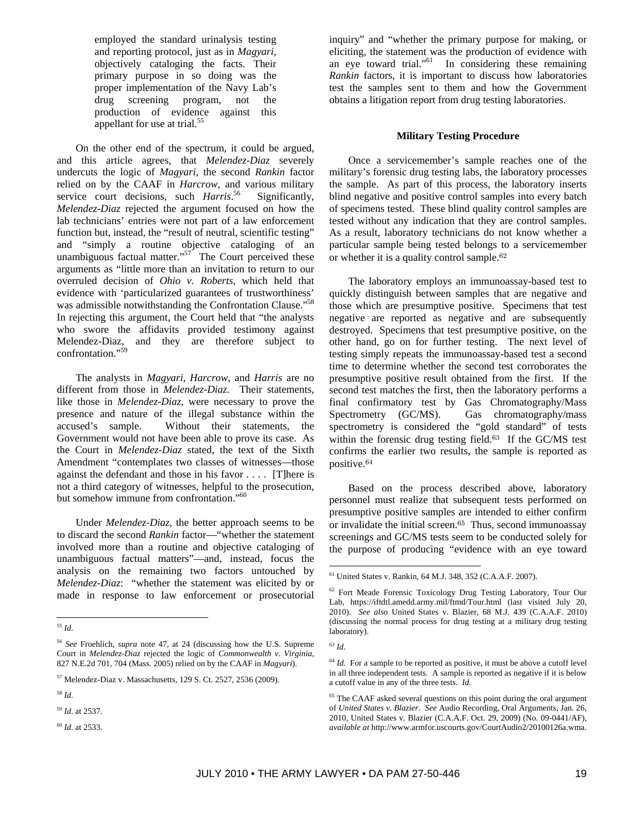employed the standard urinalysis testing and reporting protocol, just as in *Magyari*, objectively cataloging the facts. Their primary purpose in so doing was the proper implementation of the Navy Lab's drug screening program, not the production of evidence against this appellant for use at trial.<sup>55</sup>

On the other end of the spectrum, it could be argued, and this article agrees, that *Melendez-Diaz* severely undercuts the logic of *Magyari*, the second *Rankin* factor relied on by the CAAF in *Harcrow*, and various military service court decisions, such *Harris*. Significantly, *Melendez-Diaz* rejected the argument focused on how the lab technicians' entries were not part of a law enforcement function but, instead, the "result of neutral, scientific testing" and "simply a routine objective cataloging of an unambiguous factual matter."<sup>57</sup> The Court perceived these arguments as "little more than an invitation to return to our overruled decision of *Ohio v. Roberts*, which held that evidence with 'particularized guarantees of trustworthiness' was admissible notwithstanding the Confrontation Clause."<sup>58</sup> In rejecting this argument, the Court held that "the analysts who swore the affidavits provided testimony against Melendez-Diaz, and they are therefore subject to confrontation."59

The analysts in *Magyari*, *Harcrow*, and *Harris* are no different from those in *Melendez-Diaz*. Their statements, like those in *Melendez-Diaz*, were necessary to prove the presence and nature of the illegal substance within the accused's sample. Without their statements, the Government would not have been able to prove its case. As the Court in *Melendez-Diaz* stated, the text of the Sixth Amendment "contemplates two classes of witnesses—those against the defendant and those in his favor . . . . [T]here is not a third category of witnesses, helpful to the prosecution, but somehow immune from confrontation."<sup>60</sup>

Under *Melendez-Diaz*, the better approach seems to be to discard the second *Rankin* factor—"whether the statement involved more than a routine and objective cataloging of unambiguous factual matters"—and, instead, focus the analysis on the remaining two factors untouched by *Melendez-Diaz*: "whether the statement was elicited by or made in response to law enforcement or prosecutorial inquiry" and "whether the primary purpose for making, or eliciting, the statement was the production of evidence with an eye toward trial."<sup>61</sup> In considering these remaining *Rankin* factors, it is important to discuss how laboratories test the samples sent to them and how the Government obtains a litigation report from drug testing laboratories.

## **Military Testing Procedure**

Once a servicemember's sample reaches one of the military's forensic drug testing labs, the laboratory processes the sample. As part of this process, the laboratory inserts blind negative and positive control samples into every batch of specimens tested. These blind quality control samples are tested without any indication that they are control samples. As a result, laboratory technicians do not know whether a particular sample being tested belongs to a servicemember or whether it is a quality control sample.<sup>62</sup>

The laboratory employs an immunoassay-based test to quickly distinguish between samples that are negative and those which are presumptive positive. Specimens that test negative are reported as negative and are subsequently destroyed. Specimens that test presumptive positive, on the other hand, go on for further testing. The next level of testing simply repeats the immunoassay-based test a second time to determine whether the second test corroborates the presumptive positive result obtained from the first. If the second test matches the first, then the laboratory performs a final confirmatory test by Gas Chromatography/Mass Spectrometry (GC/MS). Gas chromatography/mass spectrometry is considered the "gold standard" of tests within the forensic drug testing field.63 If the GC/MS test confirms the earlier two results, the sample is reported as positive.<sup>64</sup>

Based on the process described above, laboratory personnel must realize that subsequent tests performed on presumptive positive samples are intended to either confirm or invalidate the initial screen.65 Thus, second immunoassay screenings and GC/MS tests seem to be conducted solely for the purpose of producing "evidence with an eye toward

 $\overline{a}$ 

 $\overline{a}$ <sup>55</sup> *Id*.

<sup>56</sup> *See* Froehlich, *supra* note 47, at 24 (discussing how the U.S. Supreme Court in *Melendez-Diaz* rejected the logic of *Commonwealth v. Virginia*, 827 N.E.2d 701, 704 (Mass. 2005) relied on by the CAAF in *Magyari*).

<sup>57</sup> Melendez-Diaz v. Massachusetts, 129 S. Ct. 2527, 2536 (2009).

<sup>58</sup> *Id*.

<sup>59</sup> *Id*. at 2537.

<sup>60</sup> *Id*. at 2533.

<sup>61</sup> United States v. Rankin, 64 M.J. 348, 352 (C.A.A.F. 2007).

<sup>62</sup> Fort Meade Forensic Toxicology Drug Testing Laboratory, Tour Our Lab, https://iftdtl.amedd.army.mil/ftmd/Tour.html (last visited July 20, 2010). *See also* United States v. Blazier, 68 M.J. 439 (C.A.A.F. 2010) (discussing the normal process for drug testing at a military drug testing laboratory).

<sup>63</sup> *Id*.

 $64$  *Id.* For a sample to be reported as positive, it must be above a cutoff level in all three independent tests. A sample is reported as negative if it is below a cutoff value in any of the three tests. *Id*.

<sup>&</sup>lt;sup>65</sup> The CAAF asked several questions on this point during the oral argument of *United States v. Blazier*. *See* Audio Recording, Oral Arguments, Jan. 26, 2010, United States v. Blazier (C.A.A.F. Oct. 29, 2009) (No. 09-0441/AF), *available at* http://www.armfor.uscourts.gov/CourtAudio2/20100126a.wma.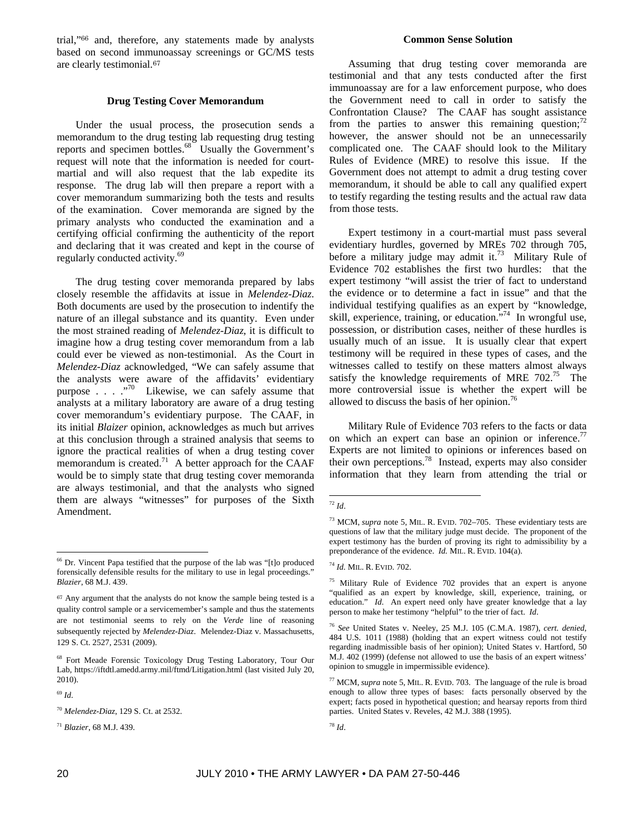trial,"66 and, therefore, any statements made by analysts based on second immunoassay screenings or GC/MS tests are clearly testimonial.<sup>67</sup>

## **Drug Testing Cover Memorandum**

Under the usual process, the prosecution sends a memorandum to the drug testing lab requesting drug testing reports and specimen bottles.<sup>68</sup> Usually the Government's request will note that the information is needed for courtmartial and will also request that the lab expedite its response. The drug lab will then prepare a report with a cover memorandum summarizing both the tests and results of the examination. Cover memoranda are signed by the primary analysts who conducted the examination and a certifying official confirming the authenticity of the report and declaring that it was created and kept in the course of regularly conducted activity.<sup>69</sup>

The drug testing cover memoranda prepared by labs closely resemble the affidavits at issue in *Melendez-Diaz*. Both documents are used by the prosecution to indentify the nature of an illegal substance and its quantity. Even under the most strained reading of *Melendez-Diaz*, it is difficult to imagine how a drug testing cover memorandum from a lab could ever be viewed as non-testimonial. As the Court in *Melendez-Diaz* acknowledged, "We can safely assume that the analysts were aware of the affidavits' evidentiary purpose . . . . . . . . . . . . Likewise, we can safely assume that analysts at a military laboratory are aware of a drug testing cover memorandum's evidentiary purpose. The CAAF, in its initial *Blaizer* opinion, acknowledges as much but arrives at this conclusion through a strained analysis that seems to ignore the practical realities of when a drug testing cover memorandum is created.<sup>71</sup> A better approach for the CAAF would be to simply state that drug testing cover memoranda are always testimonial, and that the analysts who signed them are always "witnesses" for purposes of the Sixth Amendment.

<sup>69</sup> *Id*.

 $\overline{a}$ 

## **Common Sense Solution**

Assuming that drug testing cover memoranda are testimonial and that any tests conducted after the first immunoassay are for a law enforcement purpose, who does the Government need to call in order to satisfy the Confrontation Clause? The CAAF has sought assistance from the parties to answer this remaining question;  $\frac{72}{2}$ however, the answer should not be an unnecessarily complicated one. The CAAF should look to the Military Rules of Evidence (MRE) to resolve this issue. If the Government does not attempt to admit a drug testing cover memorandum, it should be able to call any qualified expert to testify regarding the testing results and the actual raw data from those tests.

Expert testimony in a court-martial must pass several evidentiary hurdles, governed by MREs 702 through 705, before a military judge may admit it.<sup>73</sup> Military Rule of Evidence 702 establishes the first two hurdles: that the expert testimony "will assist the trier of fact to understand the evidence or to determine a fact in issue" and that the individual testifying qualifies as an expert by "knowledge, skill, experience, training, or education."<sup>74</sup> In wrongful use, possession, or distribution cases, neither of these hurdles is usually much of an issue. It is usually clear that expert testimony will be required in these types of cases, and the witnesses called to testify on these matters almost always satisfy the knowledge requirements of MRE  $702^{75}$  The more controversial issue is whether the expert will be allowed to discuss the basis of her opinion.<sup>76</sup>

Military Rule of Evidence 703 refers to the facts or data on which an expert can base an opinion or inference.<sup>77</sup> Experts are not limited to opinions or inferences based on their own perceptions.78 Instead, experts may also consider information that they learn from attending the trial or

<sup>66</sup> Dr. Vincent Papa testified that the purpose of the lab was "[t]o produced forensically defensible results for the military to use in legal proceedings." *Blazier*, 68 M.J. 439.

<sup>67</sup> Any argument that the analysts do not know the sample being tested is a quality control sample or a servicemember's sample and thus the statements are not testimonial seems to rely on the *Verde* line of reasoning subsequently rejected by *Melendez-Diaz*. Melendez-Diaz v. Massachusetts, 129 S. Ct. 2527, 2531 (2009).

<sup>68</sup> Fort Meade Forensic Toxicology Drug Testing Laboratory, Tour Our Lab, https://iftdtl.amedd.army.mil/ftmd/Litigation.html (last visited July 20, 2010).

<sup>70</sup> *Melendez-Diaz*, 129 S. Ct. at 2532.

<sup>71</sup> *Blazier*, 68 M.J. 439.

 $\overline{a}$ <sup>72</sup> *Id*.

<sup>73</sup> MCM, *supra* note 5, MIL. R. EVID. 702–705. These evidentiary tests are questions of law that the military judge must decide. The proponent of the expert testimony has the burden of proving its right to admissibility by a preponderance of the evidence. *Id.* MIL. R. EVID. 104(a).

<sup>74</sup> *Id.* MIL. R. EVID. 702.

<sup>75</sup> Military Rule of Evidence 702 provides that an expert is anyone "qualified as an expert by knowledge, skill, experience, training, or education." *Id*. An expert need only have greater knowledge that a lay person to make her testimony "helpful" to the trier of fact. *Id*.

<sup>76</sup> *See* United States v. Neeley, 25 M.J. 105 (C.M.A. 1987), *cert. denied*, 484 U.S. 1011 (1988) (holding that an expert witness could not testify regarding inadmissible basis of her opinion); United States v. Hartford, 50 M.J. 402 (1999) (defense not allowed to use the basis of an expert witness' opinion to smuggle in impermissible evidence).

<sup>77</sup> MCM, *supra* note 5, MIL. R. EVID. 703. The language of the rule is broad enough to allow three types of bases: facts personally observed by the expert; facts posed in hypothetical question; and hearsay reports from third parties. United States v. Reveles, 42 M.J. 388 (1995).

<sup>78</sup> *Id*.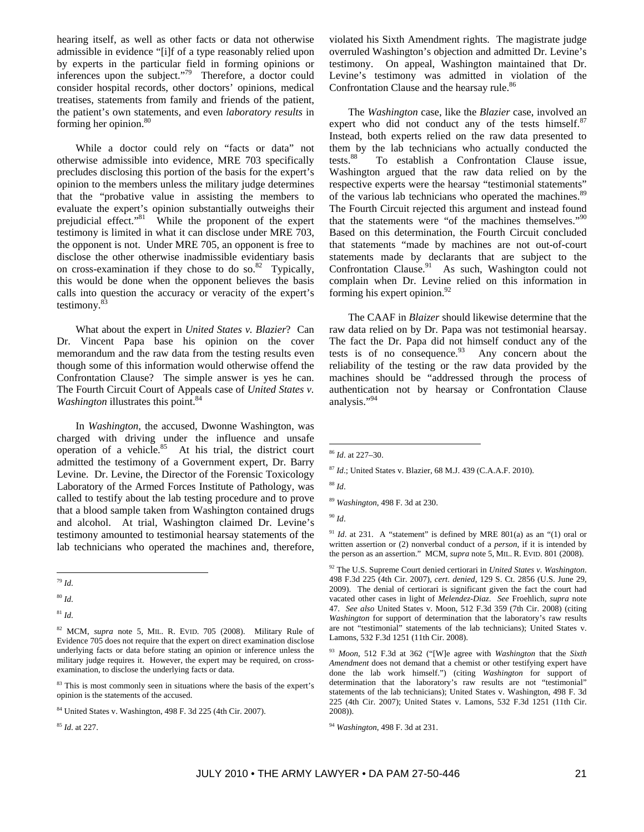hearing itself, as well as other facts or data not otherwise admissible in evidence "[i]f of a type reasonably relied upon by experts in the particular field in forming opinions or inferences upon the subject."79 Therefore, a doctor could consider hospital records, other doctors' opinions, medical treatises, statements from family and friends of the patient, the patient's own statements, and even *laboratory results* in forming her opinion.<sup>80</sup>

While a doctor could rely on "facts or data" not otherwise admissible into evidence, MRE 703 specifically precludes disclosing this portion of the basis for the expert's opinion to the members unless the military judge determines that the "probative value in assisting the members to evaluate the expert's opinion substantially outweighs their prejudicial effect."<sup>81</sup> While the proponent of the expert testimony is limited in what it can disclose under MRE 703, the opponent is not. Under MRE 705, an opponent is free to disclose the other otherwise inadmissible evidentiary basis on cross-examination if they chose to do so. $82$  Typically, this would be done when the opponent believes the basis calls into question the accuracy or veracity of the expert's testimony. $8$ 

What about the expert in *United States v. Blazier*? Can Dr. Vincent Papa base his opinion on the cover memorandum and the raw data from the testing results even though some of this information would otherwise offend the Confrontation Clause? The simple answer is yes he can. The Fourth Circuit Court of Appeals case of *United States v. Washington* illustrates this point.<sup>84</sup>

In *Washington*, the accused, Dwonne Washington, was charged with driving under the influence and unsafe operation of a vehicle.<sup>85</sup> At his trial, the district court admitted the testimony of a Government expert, Dr. Barry Levine. Dr. Levine, the Director of the Forensic Toxicology Laboratory of the Armed Forces Institute of Pathology, was called to testify about the lab testing procedure and to prove that a blood sample taken from Washington contained drugs and alcohol. At trial, Washington claimed Dr. Levine's testimony amounted to testimonial hearsay statements of the lab technicians who operated the machines and, therefore,

violated his Sixth Amendment rights. The magistrate judge overruled Washington's objection and admitted Dr. Levine's testimony. On appeal, Washington maintained that Dr. Levine's testimony was admitted in violation of the Confrontation Clause and the hearsay rule.<sup>86</sup>

The *Washington* case, like the *Blazier* case, involved an expert who did not conduct any of the tests himself. $87$ Instead, both experts relied on the raw data presented to them by the lab technicians who actually conducted the tests.<sup>88</sup> To establish a Confrontation Clause issue. To establish a Confrontation Clause issue, Washington argued that the raw data relied on by the respective experts were the hearsay "testimonial statements" of the various lab technicians who operated the machines.<sup>89</sup> The Fourth Circuit rejected this argument and instead found that the statements were "of the machines themselves."<sup>90</sup> Based on this determination, the Fourth Circuit concluded that statements "made by machines are not out-of-court statements made by declarants that are subject to the Confrontation Clause.<sup>91</sup> As such, Washington could not complain when Dr. Levine relied on this information in forming his expert opinion.<sup>92</sup>

The CAAF in *Blaizer* should likewise determine that the raw data relied on by Dr. Papa was not testimonial hearsay. The fact the Dr. Papa did not himself conduct any of the tests is of no consequence. $93$  Any concern about the reliability of the testing or the raw data provided by the machines should be "addressed through the process of authentication not by hearsay or Confrontation Clause analysis."94

92 The U.S. Supreme Court denied certiorari in *United States v. Washington*. 498 F.3d 225 (4th Cir. 2007), *cert. denied*, 129 S. Ct. 2856 (U.S. June 29, 2009). The denial of certiorari is significant given the fact the court had vacated other cases in light of *Melendez-Diaz*. *See* Froehlich, *supra* note 47. *See also* United States v. Moon, 512 F.3d 359 (7th Cir. 2008) (citing *Washington* for support of determination that the laboratory's raw results are not "testimonial" statements of the lab technicians); United States v. Lamons, 532 F.3d 1251 (11th Cir. 2008).

 $\overline{a}$ <sup>79</sup> *Id*.

<sup>80</sup> *Id*.

<sup>81</sup> *Id*.

<sup>82</sup> MCM, *supra* note 5, MIL. R. EVID. 705 (2008). Military Rule of Evidence 705 does not require that the expert on direct examination disclose underlying facts or data before stating an opinion or inference unless the military judge requires it. However, the expert may be required, on crossexamination, to disclose the underlying facts or data.

<sup>&</sup>lt;sup>83</sup> This is most commonly seen in situations where the basis of the expert's opinion is the statements of the accused.

<sup>84</sup> United States v. Washington, 498 F. 3d 225 (4th Cir. 2007).

<sup>85</sup> *Id*. at 227.

 $\overline{a}$ <sup>86</sup> *Id*. at 227–30.

<sup>87</sup> *Id*.; United States v. Blazier, 68 M.J. 439 (C.A.A.F. 2010).

<sup>88</sup> *Id*.

<sup>89</sup> *Washington*, 498 F. 3d at 230.

<sup>90</sup> *Id*.

<sup>&</sup>lt;sup>91</sup> *Id.* at 231. A "statement" is defined by MRE 801(a) as an "(1) oral or written assertion or (2) nonverbal conduct of a *person*, if it is intended by the person as an assertion." MCM, *supra* note 5, MIL. R. EVID. 801 (2008).

<sup>93</sup> *Moon*, 512 F.3d at 362 ("[W]e agree with *Washington* that the *Sixth Amendment* does not demand that a chemist or other testifying expert have done the lab work himself.") (citing *Washington* for support of determination that the laboratory's raw results are not "testimonial" statements of the lab technicians); United States v. Washington, 498 F. 3d 225 (4th Cir. 2007); United States v. Lamons, 532 F.3d 1251 (11th Cir. 2008)).

<sup>94</sup> *Washington*, 498 F. 3d at 231.